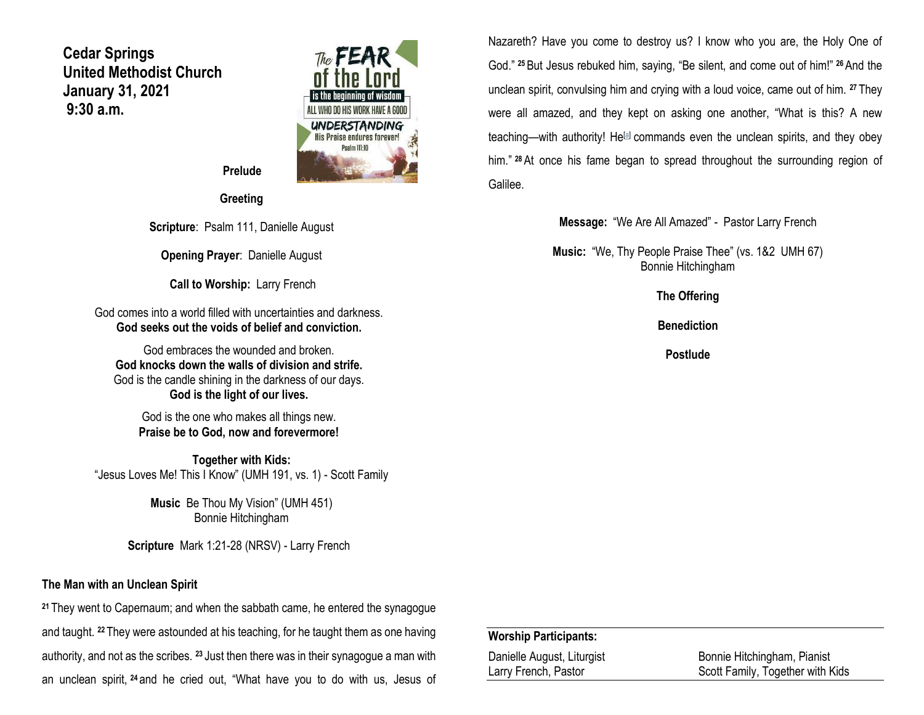**Cedar Springs United Methodist Church January 31, 2021 9:30 a.m.**



 **Prelude**

**Greeting**

**Scripture**: Psalm 111, Danielle August

**Opening Prayer**: Danielle August

**Call to Worship:** Larry French

God comes into a world filled with uncertainties and darkness. **God seeks out the voids of belief and conviction.**

God embraces the wounded and broken. **God knocks down the walls of division and strife.** God is the candle shining in the darkness of our days. **God is the light of our lives.**

God is the one who makes all things new. **Praise be to God, now and forevermore!**

**Together with Kids:** "Jesus Loves Me! This I Know" (UMH 191, vs. 1) - Scott Family

> **Music** Be Thou My Vision" (UMH 451) Bonnie Hitchingham

**Scripture** Mark 1:21-28 (NRSV) - Larry French

#### **The Man with an Unclean Spirit**

**<sup>21</sup>** They went to Capernaum; and when the sabbath came, he entered the synagogue and taught. **<sup>22</sup>** They were astounded at his teaching, for he taught them as one having authority, and not as the scribes. **<sup>23</sup>** Just then there was in their synagogue a man with an unclean spirit, **<sup>24</sup>** and he cried out, "What have you to do with us, Jesus of Nazareth? Have you come to destroy us? I know who you are, the Holy One of God." **<sup>25</sup>**But Jesus rebuked him, saying, "Be silent, and come out of him!" **<sup>26</sup>**And the unclean spirit, convulsing him and crying with a loud voice, came out of him. **<sup>27</sup>** They were all amazed, and they kept on asking one another, "What is this? A new teaching—with authority! He<sup>[\[a\]](https://www.biblegateway.com/passage/?search=Mark+1%3A21-28&version=NRSV#fen-NRSV-24240a)</sup> commands even the unclean spirits, and they obey him." **<sup>28</sup>**At once his fame began to spread throughout the surrounding region of Galilee.

**Message:** "We Are All Amazed" - Pastor Larry French

**Music:** "We, Thy People Praise Thee" (vs. 1&2 UMH 67) Bonnie Hitchingham

**The Offering**

**Benediction**

**Postlude**

#### **Worship Participants:**

| Danielle August, Liturgist | Bonnie Hitchingham, Pianist      |
|----------------------------|----------------------------------|
| Larry French, Pastor       | Scott Family, Together with Kids |